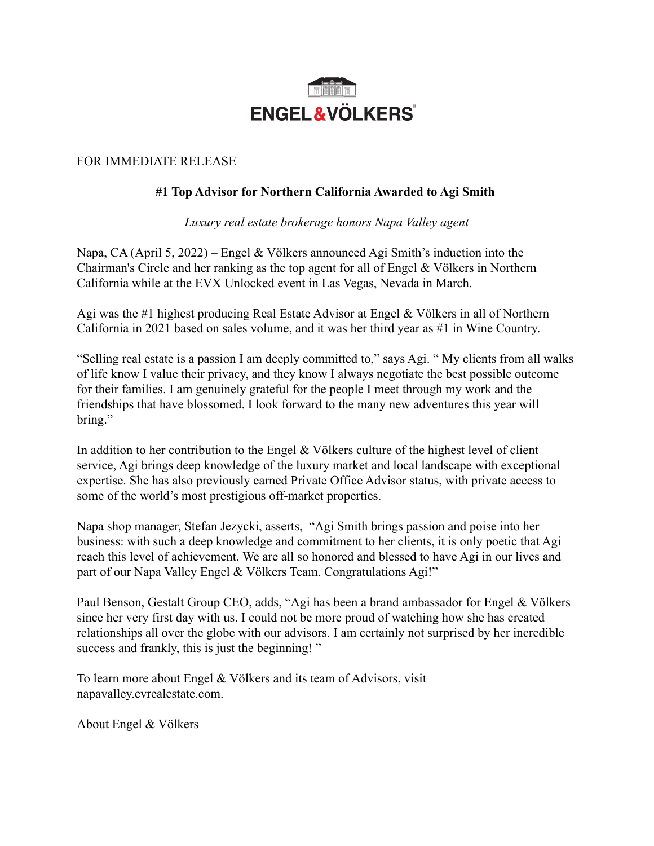

## FOR IMMEDIATE RELEASE

## **#1 Top Advisor for Northern California Awarded to Agi Smith**

*Luxury real estate brokerage honors Napa Valley agent*

Napa, CA (April 5, 2022) – Engel & Völkers announced Agi Smith's induction into the Chairman's Circle and her ranking as the top agent for all of Engel & Völkers in Northern California while at the EVX Unlocked event in Las Vegas, Nevada in March.

Agi was the #1 highest producing Real Estate Advisor at Engel & Völkers in all of Northern California in 2021 based on sales volume, and it was her third year as #1 in Wine Country.

"Selling real estate is a passion I am deeply committed to," says Agi. " My clients from all walks of life know I value their privacy, and they know I always negotiate the best possible outcome for their families. I am genuinely grateful for the people I meet through my work and the friendships that have blossomed. I look forward to the many new adventures this year will bring."

In addition to her contribution to the Engel & Völkers culture of the highest level of client service, Agi brings deep knowledge of the luxury market and local landscape with exceptional expertise. She has also previously earned Private Office Advisor status, with private access to some of the world's most prestigious off-market properties.

Napa shop manager, Stefan Jezycki, asserts, "Agi Smith brings passion and poise into her business: with such a deep knowledge and commitment to her clients, it is only poetic that Agi reach this level of achievement. We are all so honored and blessed to have Agi in our lives and part of our Napa Valley Engel & Völkers Team. Congratulations Agi!"

Paul Benson, Gestalt Group CEO, adds, "Agi has been a brand ambassador for Engel & Völkers since her very first day with us. I could not be more proud of watching how she has created relationships all over the globe with our advisors. I am certainly not surprised by her incredible success and frankly, this is just the beginning!"

To learn more about Engel & Völkers and its team of Advisors, visit napavalley.evrealestate.com.

About Engel & Völkers